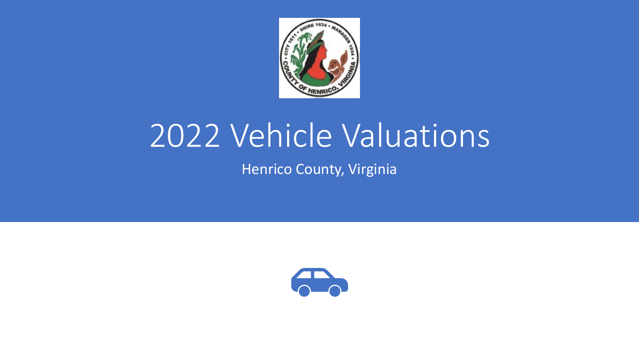

# 2022 Vehicle Valuations

Henrico County, Virginia

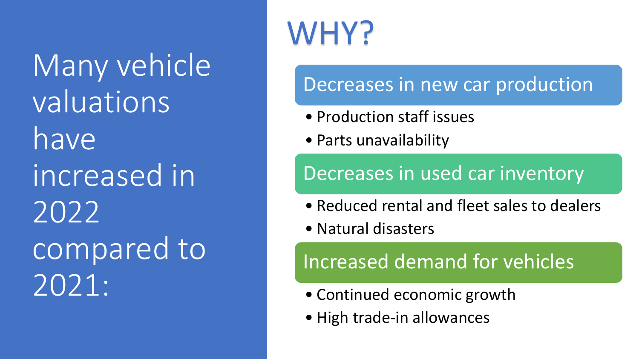Many vehicle valuations have increased in 2022 compared to 2021:

# WHY?

#### Decreases in new car production

- Production staff issues
- Parts unavailability

#### Decreases in used car inventory

- Reduced rental and fleet sales to dealers
- Natural disasters

#### Increased demand for vehicles

- Continued economic growth
- High trade-in allowances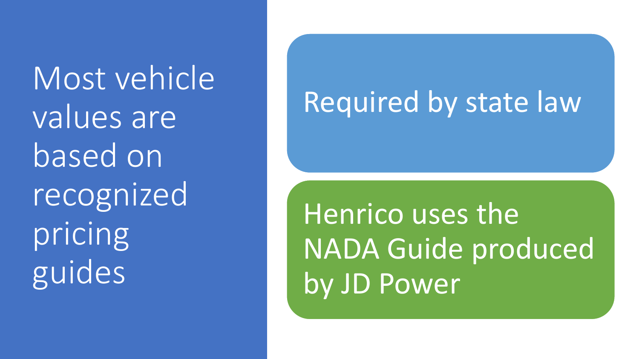Most vehicle values are based on recognized pricing guides

## Required by state law

Henrico uses the NADA Guide produced by JD Power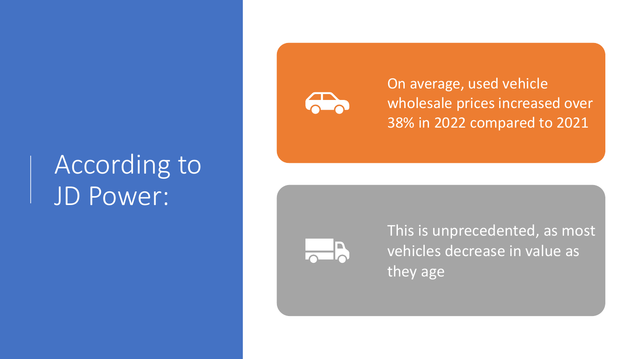## According to JD Power:



On average, used vehicle wholesale prices increased over 38% in 2022 compared to 2021



This is unprecedented, as most vehicles decrease in value as they age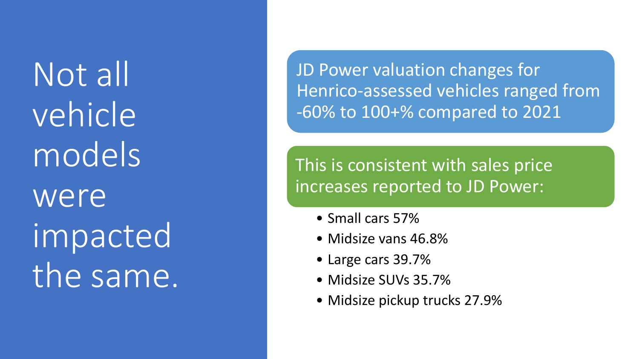Not all vehicle models were impacted the same.

JD Power valuation changes for Henrico -assessed vehicles ranged from -60% to 100+% compared to 2021

This is consistent with sales price increases reported to JD Power:

- Small cars 57%
- Midsize vans 46.8%
- Large cars 39.7%
- Midsize SUVs 35.7%
- Midsize pickup trucks 27.9%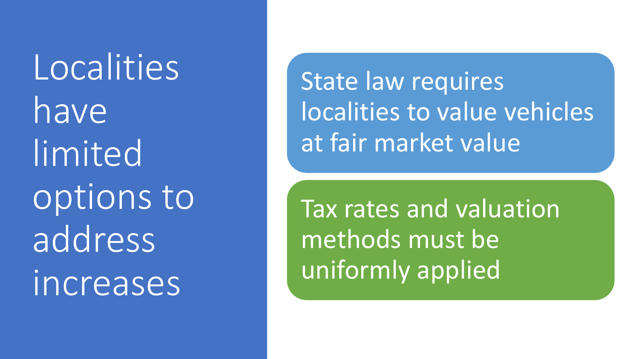Localities have limited options to address increases

State law requires localities to value vehicles at fair market value

Tax rates and valuation methods must be uniformly applied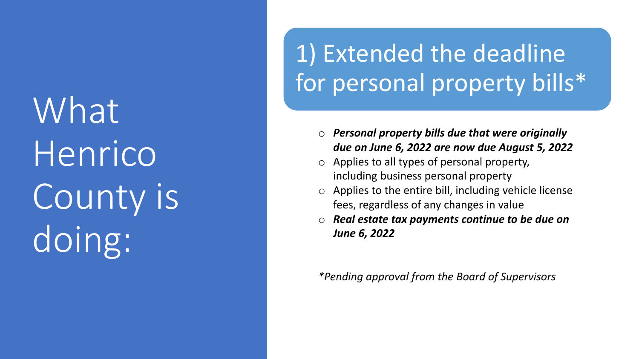What Henrico County is doing:

### 1) Extended the deadline for personal property bills\*

- o *Personal property bills due that were originally due on June 6, 2022 are now due August 5, 2022*
- o Applies to all types of personal property, including business personal property
- $\circ$  Applies to the entire bill, including vehicle license fees, regardless of any changes in value
- o *Real estate tax payments continue to be due on June 6, 2022*

*\*Pending approval from the Board of Supervisors*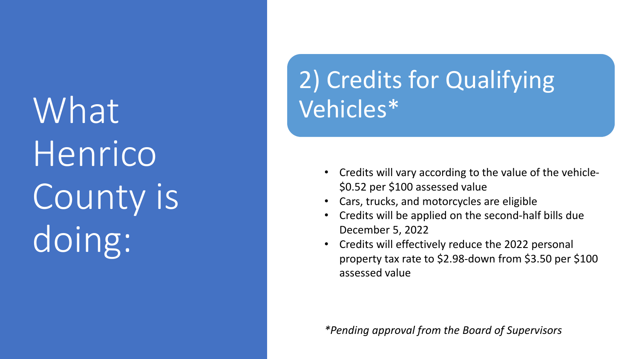What Henrico County is doing:

### 2) Credits for Qualifying Vehicles\*

- Credits will vary according to the value of the vehicle- \$0.52 per \$100 assessed value
- Cars, trucks, and motorcycles are eligible
- Credits will be applied on the second-half bills due December 5, 2022
- Credits will effectively reduce the 2022 personal property tax rate to \$2.98-down from \$3.50 per \$100 assessed value

*\*Pending approval from the Board of Supervisors*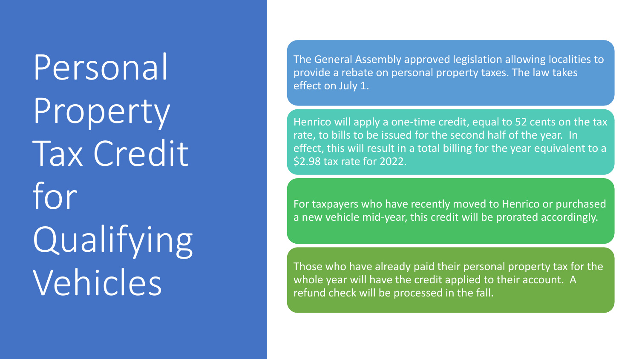Personal Property Tax Credit for Qualifying Vehicles

The General Assembly approved legislation allowing localities to provide a rebate on personal property taxes. The law takes effect on July 1.

Henrico will apply a one-time credit, equal to 52 cents on the tax rate, to bills to be issued for the second half of the year. In effect, this will result in a total billing for the year equivalent to a \$2.98 tax rate for 2022.

For taxpayers who have recently moved to Henrico or purchased a new vehicle mid-year, this credit will be prorated accordingly.

Those who have already paid their personal property tax for the whole year will have the credit applied to their account. A refund check will be processed in the fall.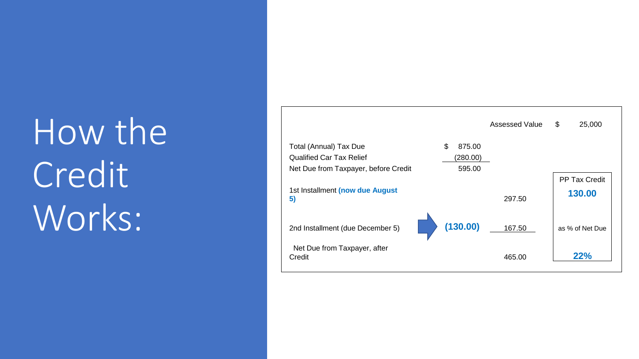# How the Credit Works:

|                                        |              | Assessed Value | \$<br>25,000         |
|----------------------------------------|--------------|----------------|----------------------|
| Total (Annual) Tax Due                 | \$<br>875.00 |                |                      |
| <b>Qualified Car Tax Relief</b>        | (280.00)     |                |                      |
| Net Due from Taxpayer, before Credit   | 595.00       |                |                      |
|                                        |              |                | <b>PP Tax Credit</b> |
| 1st Installment (now due August<br>5)  |              | 297.50         | 130.00               |
| 2nd Installment (due December 5)       | (130.00)     | 167.50         | as % of Net Due      |
| Net Due from Taxpayer, after<br>Credit |              | 465.00         | 22%                  |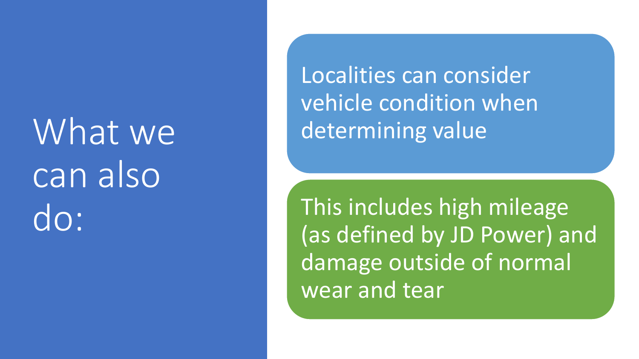What we can also do:

Localities can consider vehicle condition when determining value

This includes high mileage (as defined by JD Power) and damage outside of normal wear and tear